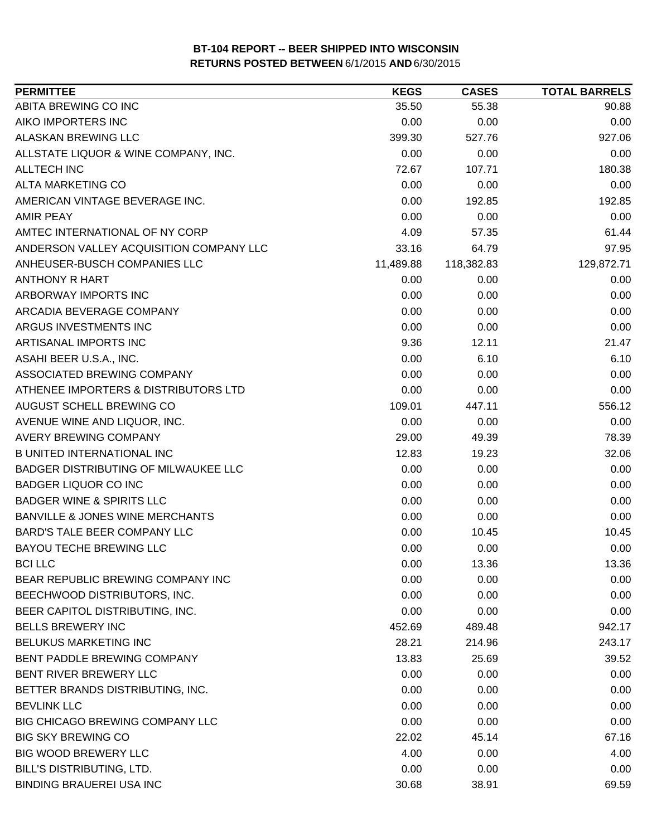| <b>PERMITTEE</b>                           | <b>KEGS</b> | <b>CASES</b> | <b>TOTAL BARRELS</b> |
|--------------------------------------------|-------------|--------------|----------------------|
| ABITA BREWING CO INC                       | 35.50       | 55.38        | 90.88                |
| AIKO IMPORTERS INC                         | 0.00        | 0.00         | 0.00                 |
| ALASKAN BREWING LLC                        | 399.30      | 527.76       | 927.06               |
| ALLSTATE LIQUOR & WINE COMPANY, INC.       | 0.00        | 0.00         | 0.00                 |
| <b>ALLTECH INC</b>                         | 72.67       | 107.71       | 180.38               |
| ALTA MARKETING CO                          | 0.00        | 0.00         | 0.00                 |
| AMERICAN VINTAGE BEVERAGE INC.             | 0.00        | 192.85       | 192.85               |
| <b>AMIR PEAY</b>                           | 0.00        | 0.00         | 0.00                 |
| AMTEC INTERNATIONAL OF NY CORP             | 4.09        | 57.35        | 61.44                |
| ANDERSON VALLEY ACQUISITION COMPANY LLC    | 33.16       | 64.79        | 97.95                |
| ANHEUSER-BUSCH COMPANIES LLC               | 11,489.88   | 118,382.83   | 129,872.71           |
| <b>ANTHONY R HART</b>                      | 0.00        | 0.00         | 0.00                 |
| ARBORWAY IMPORTS INC                       | 0.00        | 0.00         | 0.00                 |
| ARCADIA BEVERAGE COMPANY                   | 0.00        | 0.00         | 0.00                 |
| ARGUS INVESTMENTS INC                      | 0.00        | 0.00         | 0.00                 |
| ARTISANAL IMPORTS INC                      | 9.36        | 12.11        | 21.47                |
| ASAHI BEER U.S.A., INC.                    | 0.00        | 6.10         | 6.10                 |
| ASSOCIATED BREWING COMPANY                 | 0.00        | 0.00         | 0.00                 |
| ATHENEE IMPORTERS & DISTRIBUTORS LTD       | 0.00        | 0.00         | 0.00                 |
| AUGUST SCHELL BREWING CO                   | 109.01      | 447.11       | 556.12               |
| AVENUE WINE AND LIQUOR, INC.               | 0.00        | 0.00         | 0.00                 |
| AVERY BREWING COMPANY                      | 29.00       | 49.39        | 78.39                |
| <b>B UNITED INTERNATIONAL INC</b>          | 12.83       | 19.23        | 32.06                |
| BADGER DISTRIBUTING OF MILWAUKEE LLC       | 0.00        | 0.00         | 0.00                 |
| <b>BADGER LIQUOR CO INC</b>                | 0.00        | 0.00         | 0.00                 |
| <b>BADGER WINE &amp; SPIRITS LLC</b>       | 0.00        | 0.00         | 0.00                 |
| <b>BANVILLE &amp; JONES WINE MERCHANTS</b> | 0.00        | 0.00         | 0.00                 |
| BARD'S TALE BEER COMPANY LLC               | 0.00        | 10.45        | 10.45                |
| <b>BAYOU TECHE BREWING LLC</b>             | 0.00        | 0.00         | 0.00                 |
| <b>BCI LLC</b>                             | 0.00        | 13.36        | 13.36                |
| BEAR REPUBLIC BREWING COMPANY INC          | 0.00        | 0.00         | 0.00                 |
| BEECHWOOD DISTRIBUTORS, INC.               | 0.00        | 0.00         | 0.00                 |
| BEER CAPITOL DISTRIBUTING, INC.            | 0.00        | 0.00         | 0.00                 |
| <b>BELLS BREWERY INC</b>                   | 452.69      | 489.48       | 942.17               |
| <b>BELUKUS MARKETING INC</b>               | 28.21       | 214.96       | 243.17               |
| BENT PADDLE BREWING COMPANY                | 13.83       | 25.69        | 39.52                |
| BENT RIVER BREWERY LLC                     | 0.00        | 0.00         | 0.00                 |
| BETTER BRANDS DISTRIBUTING, INC.           | 0.00        | 0.00         | 0.00                 |
| <b>BEVLINK LLC</b>                         | 0.00        | 0.00         | 0.00                 |
| BIG CHICAGO BREWING COMPANY LLC            | 0.00        | 0.00         | 0.00                 |
| <b>BIG SKY BREWING CO</b>                  | 22.02       | 45.14        | 67.16                |
| <b>BIG WOOD BREWERY LLC</b>                | 4.00        | 0.00         | 4.00                 |
| BILL'S DISTRIBUTING, LTD.                  | 0.00        | 0.00         | 0.00                 |
| <b>BINDING BRAUEREI USA INC</b>            | 30.68       | 38.91        | 69.59                |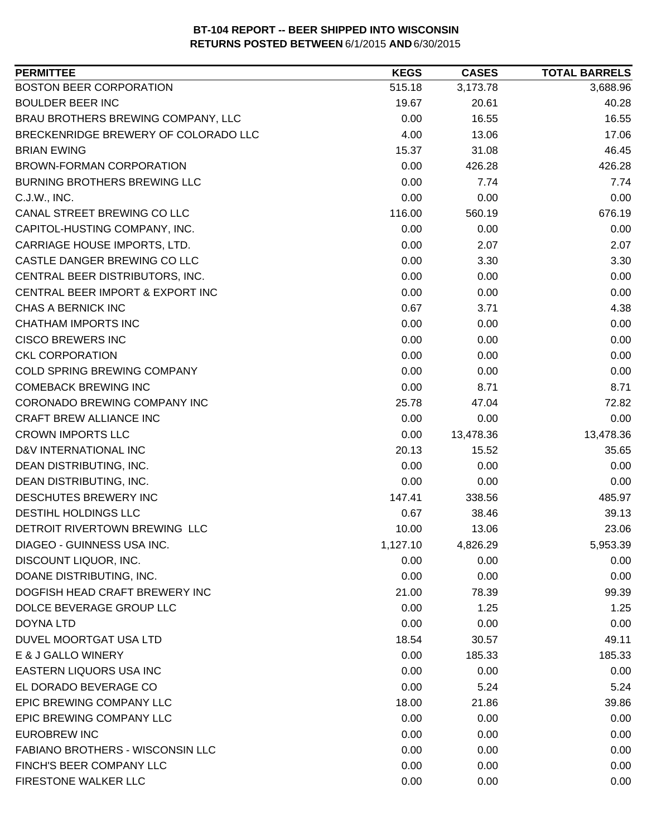| <b>PERMITTEE</b>                     | <b>KEGS</b> | <b>CASES</b> | <b>TOTAL BARRELS</b> |
|--------------------------------------|-------------|--------------|----------------------|
| <b>BOSTON BEER CORPORATION</b>       | 515.18      | 3,173.78     | 3,688.96             |
| <b>BOULDER BEER INC</b>              | 19.67       | 20.61        | 40.28                |
| BRAU BROTHERS BREWING COMPANY, LLC   | 0.00        | 16.55        | 16.55                |
| BRECKENRIDGE BREWERY OF COLORADO LLC | 4.00        | 13.06        | 17.06                |
| <b>BRIAN EWING</b>                   | 15.37       | 31.08        | 46.45                |
| BROWN-FORMAN CORPORATION             | 0.00        | 426.28       | 426.28               |
| <b>BURNING BROTHERS BREWING LLC</b>  | 0.00        | 7.74         | 7.74                 |
| C.J.W., INC.                         | 0.00        | 0.00         | 0.00                 |
| CANAL STREET BREWING CO LLC          | 116.00      | 560.19       | 676.19               |
| CAPITOL-HUSTING COMPANY, INC.        | 0.00        | 0.00         | 0.00                 |
| CARRIAGE HOUSE IMPORTS, LTD.         | 0.00        | 2.07         | 2.07                 |
| CASTLE DANGER BREWING CO LLC         | 0.00        | 3.30         | 3.30                 |
| CENTRAL BEER DISTRIBUTORS, INC.      | 0.00        | 0.00         | 0.00                 |
| CENTRAL BEER IMPORT & EXPORT INC     | 0.00        | 0.00         | 0.00                 |
| <b>CHAS A BERNICK INC</b>            | 0.67        | 3.71         | 4.38                 |
| <b>CHATHAM IMPORTS INC</b>           | 0.00        | 0.00         | 0.00                 |
| <b>CISCO BREWERS INC</b>             | 0.00        | 0.00         | 0.00                 |
| <b>CKL CORPORATION</b>               | 0.00        | 0.00         | 0.00                 |
| COLD SPRING BREWING COMPANY          | 0.00        | 0.00         | 0.00                 |
| <b>COMEBACK BREWING INC</b>          | 0.00        | 8.71         | 8.71                 |
| CORONADO BREWING COMPANY INC         | 25.78       | 47.04        | 72.82                |
| CRAFT BREW ALLIANCE INC              | 0.00        | 0.00         | 0.00                 |
| <b>CROWN IMPORTS LLC</b>             | 0.00        | 13,478.36    | 13,478.36            |
| D&V INTERNATIONAL INC                | 20.13       | 15.52        | 35.65                |
| DEAN DISTRIBUTING, INC.              | 0.00        | 0.00         | 0.00                 |
| DEAN DISTRIBUTING, INC.              | 0.00        | 0.00         | 0.00                 |
| DESCHUTES BREWERY INC                | 147.41      | 338.56       | 485.97               |
| DESTIHL HOLDINGS LLC                 | 0.67        | 38.46        | 39.13                |
| DETROIT RIVERTOWN BREWING LLC        | 10.00       | 13.06        | 23.06                |
| DIAGEO - GUINNESS USA INC.           | 1,127.10    | 4,826.29     | 5,953.39             |
| DISCOUNT LIQUOR, INC.                | 0.00        | 0.00         | 0.00                 |
| DOANE DISTRIBUTING, INC.             | 0.00        | 0.00         | 0.00                 |
| DOGFISH HEAD CRAFT BREWERY INC       | 21.00       | 78.39        | 99.39                |
| DOLCE BEVERAGE GROUP LLC             | 0.00        | 1.25         | 1.25                 |
| <b>DOYNA LTD</b>                     | 0.00        | 0.00         | 0.00                 |
| DUVEL MOORTGAT USA LTD               | 18.54       | 30.57        | 49.11                |
| E & J GALLO WINERY                   | 0.00        | 185.33       | 185.33               |
| <b>EASTERN LIQUORS USA INC</b>       | 0.00        | 0.00         | 0.00                 |
| EL DORADO BEVERAGE CO                | 0.00        | 5.24         | 5.24                 |
| EPIC BREWING COMPANY LLC             | 18.00       | 21.86        | 39.86                |
| EPIC BREWING COMPANY LLC             | 0.00        | 0.00         | 0.00                 |
| EUROBREW INC                         | 0.00        | 0.00         | 0.00                 |
| FABIANO BROTHERS - WISCONSIN LLC     | 0.00        | 0.00         | 0.00                 |
| FINCH'S BEER COMPANY LLC             | 0.00        | 0.00         | 0.00                 |
| FIRESTONE WALKER LLC                 | 0.00        | 0.00         | 0.00                 |
|                                      |             |              |                      |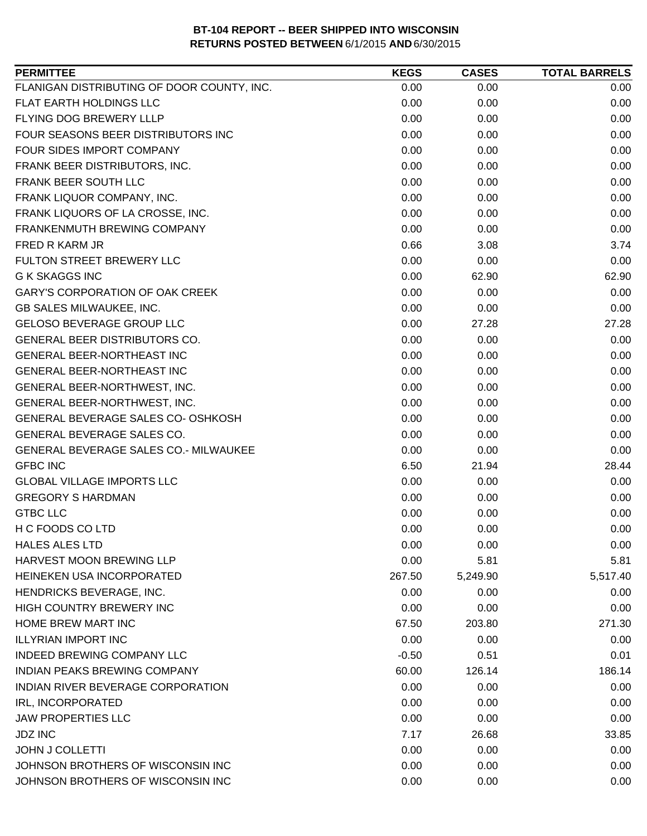| FLANIGAN DISTRIBUTING OF DOOR COUNTY, INC.<br>0.00<br>0.00<br>0.00<br>FLAT EARTH HOLDINGS LLC<br>0.00<br>0.00<br>0.00<br><b>FLYING DOG BREWERY LLLP</b><br>0.00<br>0.00<br>0.00<br>FOUR SEASONS BEER DISTRIBUTORS INC<br>0.00<br>0.00<br>0.00<br>FOUR SIDES IMPORT COMPANY<br>0.00<br>0.00<br>0.00<br>FRANK BEER DISTRIBUTORS, INC.<br>0.00<br>0.00<br>0.00<br>FRANK BEER SOUTH LLC<br>0.00<br>0.00<br>0.00<br>FRANK LIQUOR COMPANY, INC.<br>0.00<br>0.00<br>0.00<br>FRANK LIQUORS OF LA CROSSE, INC.<br>0.00<br>0.00<br>0.00<br>FRANKENMUTH BREWING COMPANY<br>0.00<br>0.00<br>0.00<br>0.66<br>FRED R KARM JR<br>3.08<br>3.74<br>FULTON STREET BREWERY LLC<br>0.00<br>0.00<br>0.00<br><b>G K SKAGGS INC</b><br>0.00<br>62.90<br>62.90<br><b>GARY'S CORPORATION OF OAK CREEK</b><br>0.00<br>0.00<br>0.00<br>GB SALES MILWAUKEE, INC.<br>0.00<br>0.00<br>0.00<br>GELOSO BEVERAGE GROUP LLC<br>0.00<br>27.28<br>27.28<br>GENERAL BEER DISTRIBUTORS CO.<br>0.00<br>0.00<br>0.00<br>GENERAL BEER-NORTHEAST INC<br>0.00<br>0.00<br>0.00<br>GENERAL BEER-NORTHEAST INC<br>0.00<br>0.00<br>0.00<br>0.00<br>0.00<br>GENERAL BEER-NORTHWEST, INC.<br>0.00<br>GENERAL BEER-NORTHWEST, INC.<br>0.00<br>0.00<br>0.00<br>GENERAL BEVERAGE SALES CO- OSHKOSH<br>0.00<br>0.00<br>0.00<br>GENERAL BEVERAGE SALES CO.<br>0.00<br>0.00<br>0.00<br>GENERAL BEVERAGE SALES CO.- MILWAUKEE<br>0.00<br>0.00<br>0.00<br><b>GFBC INC</b><br>6.50<br>28.44<br>21.94<br><b>GLOBAL VILLAGE IMPORTS LLC</b><br>0.00<br>0.00<br>0.00<br><b>GREGORY S HARDMAN</b><br>0.00<br>0.00<br>0.00<br><b>GTBC LLC</b><br>0.00<br>0.00<br>0.00<br>H C FOODS CO LTD<br>0.00<br>0.00<br>0.00<br><b>HALES ALES LTD</b><br>0.00<br>0.00<br>0.00<br>HARVEST MOON BREWING LLP<br>0.00<br>5.81<br>5.81<br>HEINEKEN USA INCORPORATED<br>267.50<br>5,249.90<br>5,517.40<br>HENDRICKS BEVERAGE, INC.<br>0.00<br>0.00<br>0.00<br>HIGH COUNTRY BREWERY INC<br>0.00<br>0.00<br>0.00<br>HOME BREW MART INC<br>203.80<br>271.30<br>67.50<br><b>ILLYRIAN IMPORT INC</b><br>0.00<br>0.00<br>0.00<br><b>INDEED BREWING COMPANY LLC</b><br>$-0.50$<br>0.51<br>0.01<br><b>INDIAN PEAKS BREWING COMPANY</b><br>186.14<br>60.00<br>126.14<br>INDIAN RIVER BEVERAGE CORPORATION<br>0.00<br>0.00<br>0.00<br>IRL, INCORPORATED<br>0.00<br>0.00<br>0.00<br><b>JAW PROPERTIES LLC</b><br>0.00<br>0.00<br>0.00<br><b>JDZ INC</b><br>7.17<br>26.68<br>33.85<br><b>JOHN J COLLETTI</b><br>0.00<br>0.00<br>0.00<br>JOHNSON BROTHERS OF WISCONSIN INC<br>0.00<br>0.00<br>0.00 | <b>PERMITTEE</b>                  | <b>KEGS</b> | <b>CASES</b> | <b>TOTAL BARRELS</b> |
|-------------------------------------------------------------------------------------------------------------------------------------------------------------------------------------------------------------------------------------------------------------------------------------------------------------------------------------------------------------------------------------------------------------------------------------------------------------------------------------------------------------------------------------------------------------------------------------------------------------------------------------------------------------------------------------------------------------------------------------------------------------------------------------------------------------------------------------------------------------------------------------------------------------------------------------------------------------------------------------------------------------------------------------------------------------------------------------------------------------------------------------------------------------------------------------------------------------------------------------------------------------------------------------------------------------------------------------------------------------------------------------------------------------------------------------------------------------------------------------------------------------------------------------------------------------------------------------------------------------------------------------------------------------------------------------------------------------------------------------------------------------------------------------------------------------------------------------------------------------------------------------------------------------------------------------------------------------------------------------------------------------------------------------------------------------------------------------------------------------------------------------------------------------------------------------------------------------------------------------------------------------------------------------------------------------------------------------------------------------------------------------------------------------------------------------------------------------------------------------------------------|-----------------------------------|-------------|--------------|----------------------|
|                                                                                                                                                                                                                                                                                                                                                                                                                                                                                                                                                                                                                                                                                                                                                                                                                                                                                                                                                                                                                                                                                                                                                                                                                                                                                                                                                                                                                                                                                                                                                                                                                                                                                                                                                                                                                                                                                                                                                                                                                                                                                                                                                                                                                                                                                                                                                                                                                                                                                                       |                                   |             |              |                      |
|                                                                                                                                                                                                                                                                                                                                                                                                                                                                                                                                                                                                                                                                                                                                                                                                                                                                                                                                                                                                                                                                                                                                                                                                                                                                                                                                                                                                                                                                                                                                                                                                                                                                                                                                                                                                                                                                                                                                                                                                                                                                                                                                                                                                                                                                                                                                                                                                                                                                                                       |                                   |             |              |                      |
|                                                                                                                                                                                                                                                                                                                                                                                                                                                                                                                                                                                                                                                                                                                                                                                                                                                                                                                                                                                                                                                                                                                                                                                                                                                                                                                                                                                                                                                                                                                                                                                                                                                                                                                                                                                                                                                                                                                                                                                                                                                                                                                                                                                                                                                                                                                                                                                                                                                                                                       |                                   |             |              |                      |
|                                                                                                                                                                                                                                                                                                                                                                                                                                                                                                                                                                                                                                                                                                                                                                                                                                                                                                                                                                                                                                                                                                                                                                                                                                                                                                                                                                                                                                                                                                                                                                                                                                                                                                                                                                                                                                                                                                                                                                                                                                                                                                                                                                                                                                                                                                                                                                                                                                                                                                       |                                   |             |              |                      |
|                                                                                                                                                                                                                                                                                                                                                                                                                                                                                                                                                                                                                                                                                                                                                                                                                                                                                                                                                                                                                                                                                                                                                                                                                                                                                                                                                                                                                                                                                                                                                                                                                                                                                                                                                                                                                                                                                                                                                                                                                                                                                                                                                                                                                                                                                                                                                                                                                                                                                                       |                                   |             |              |                      |
|                                                                                                                                                                                                                                                                                                                                                                                                                                                                                                                                                                                                                                                                                                                                                                                                                                                                                                                                                                                                                                                                                                                                                                                                                                                                                                                                                                                                                                                                                                                                                                                                                                                                                                                                                                                                                                                                                                                                                                                                                                                                                                                                                                                                                                                                                                                                                                                                                                                                                                       |                                   |             |              |                      |
|                                                                                                                                                                                                                                                                                                                                                                                                                                                                                                                                                                                                                                                                                                                                                                                                                                                                                                                                                                                                                                                                                                                                                                                                                                                                                                                                                                                                                                                                                                                                                                                                                                                                                                                                                                                                                                                                                                                                                                                                                                                                                                                                                                                                                                                                                                                                                                                                                                                                                                       |                                   |             |              |                      |
|                                                                                                                                                                                                                                                                                                                                                                                                                                                                                                                                                                                                                                                                                                                                                                                                                                                                                                                                                                                                                                                                                                                                                                                                                                                                                                                                                                                                                                                                                                                                                                                                                                                                                                                                                                                                                                                                                                                                                                                                                                                                                                                                                                                                                                                                                                                                                                                                                                                                                                       |                                   |             |              |                      |
|                                                                                                                                                                                                                                                                                                                                                                                                                                                                                                                                                                                                                                                                                                                                                                                                                                                                                                                                                                                                                                                                                                                                                                                                                                                                                                                                                                                                                                                                                                                                                                                                                                                                                                                                                                                                                                                                                                                                                                                                                                                                                                                                                                                                                                                                                                                                                                                                                                                                                                       |                                   |             |              |                      |
|                                                                                                                                                                                                                                                                                                                                                                                                                                                                                                                                                                                                                                                                                                                                                                                                                                                                                                                                                                                                                                                                                                                                                                                                                                                                                                                                                                                                                                                                                                                                                                                                                                                                                                                                                                                                                                                                                                                                                                                                                                                                                                                                                                                                                                                                                                                                                                                                                                                                                                       |                                   |             |              |                      |
|                                                                                                                                                                                                                                                                                                                                                                                                                                                                                                                                                                                                                                                                                                                                                                                                                                                                                                                                                                                                                                                                                                                                                                                                                                                                                                                                                                                                                                                                                                                                                                                                                                                                                                                                                                                                                                                                                                                                                                                                                                                                                                                                                                                                                                                                                                                                                                                                                                                                                                       |                                   |             |              |                      |
|                                                                                                                                                                                                                                                                                                                                                                                                                                                                                                                                                                                                                                                                                                                                                                                                                                                                                                                                                                                                                                                                                                                                                                                                                                                                                                                                                                                                                                                                                                                                                                                                                                                                                                                                                                                                                                                                                                                                                                                                                                                                                                                                                                                                                                                                                                                                                                                                                                                                                                       |                                   |             |              |                      |
|                                                                                                                                                                                                                                                                                                                                                                                                                                                                                                                                                                                                                                                                                                                                                                                                                                                                                                                                                                                                                                                                                                                                                                                                                                                                                                                                                                                                                                                                                                                                                                                                                                                                                                                                                                                                                                                                                                                                                                                                                                                                                                                                                                                                                                                                                                                                                                                                                                                                                                       |                                   |             |              |                      |
|                                                                                                                                                                                                                                                                                                                                                                                                                                                                                                                                                                                                                                                                                                                                                                                                                                                                                                                                                                                                                                                                                                                                                                                                                                                                                                                                                                                                                                                                                                                                                                                                                                                                                                                                                                                                                                                                                                                                                                                                                                                                                                                                                                                                                                                                                                                                                                                                                                                                                                       |                                   |             |              |                      |
|                                                                                                                                                                                                                                                                                                                                                                                                                                                                                                                                                                                                                                                                                                                                                                                                                                                                                                                                                                                                                                                                                                                                                                                                                                                                                                                                                                                                                                                                                                                                                                                                                                                                                                                                                                                                                                                                                                                                                                                                                                                                                                                                                                                                                                                                                                                                                                                                                                                                                                       |                                   |             |              |                      |
|                                                                                                                                                                                                                                                                                                                                                                                                                                                                                                                                                                                                                                                                                                                                                                                                                                                                                                                                                                                                                                                                                                                                                                                                                                                                                                                                                                                                                                                                                                                                                                                                                                                                                                                                                                                                                                                                                                                                                                                                                                                                                                                                                                                                                                                                                                                                                                                                                                                                                                       |                                   |             |              |                      |
|                                                                                                                                                                                                                                                                                                                                                                                                                                                                                                                                                                                                                                                                                                                                                                                                                                                                                                                                                                                                                                                                                                                                                                                                                                                                                                                                                                                                                                                                                                                                                                                                                                                                                                                                                                                                                                                                                                                                                                                                                                                                                                                                                                                                                                                                                                                                                                                                                                                                                                       |                                   |             |              |                      |
|                                                                                                                                                                                                                                                                                                                                                                                                                                                                                                                                                                                                                                                                                                                                                                                                                                                                                                                                                                                                                                                                                                                                                                                                                                                                                                                                                                                                                                                                                                                                                                                                                                                                                                                                                                                                                                                                                                                                                                                                                                                                                                                                                                                                                                                                                                                                                                                                                                                                                                       |                                   |             |              |                      |
|                                                                                                                                                                                                                                                                                                                                                                                                                                                                                                                                                                                                                                                                                                                                                                                                                                                                                                                                                                                                                                                                                                                                                                                                                                                                                                                                                                                                                                                                                                                                                                                                                                                                                                                                                                                                                                                                                                                                                                                                                                                                                                                                                                                                                                                                                                                                                                                                                                                                                                       |                                   |             |              |                      |
|                                                                                                                                                                                                                                                                                                                                                                                                                                                                                                                                                                                                                                                                                                                                                                                                                                                                                                                                                                                                                                                                                                                                                                                                                                                                                                                                                                                                                                                                                                                                                                                                                                                                                                                                                                                                                                                                                                                                                                                                                                                                                                                                                                                                                                                                                                                                                                                                                                                                                                       |                                   |             |              |                      |
|                                                                                                                                                                                                                                                                                                                                                                                                                                                                                                                                                                                                                                                                                                                                                                                                                                                                                                                                                                                                                                                                                                                                                                                                                                                                                                                                                                                                                                                                                                                                                                                                                                                                                                                                                                                                                                                                                                                                                                                                                                                                                                                                                                                                                                                                                                                                                                                                                                                                                                       |                                   |             |              |                      |
|                                                                                                                                                                                                                                                                                                                                                                                                                                                                                                                                                                                                                                                                                                                                                                                                                                                                                                                                                                                                                                                                                                                                                                                                                                                                                                                                                                                                                                                                                                                                                                                                                                                                                                                                                                                                                                                                                                                                                                                                                                                                                                                                                                                                                                                                                                                                                                                                                                                                                                       |                                   |             |              |                      |
|                                                                                                                                                                                                                                                                                                                                                                                                                                                                                                                                                                                                                                                                                                                                                                                                                                                                                                                                                                                                                                                                                                                                                                                                                                                                                                                                                                                                                                                                                                                                                                                                                                                                                                                                                                                                                                                                                                                                                                                                                                                                                                                                                                                                                                                                                                                                                                                                                                                                                                       |                                   |             |              |                      |
|                                                                                                                                                                                                                                                                                                                                                                                                                                                                                                                                                                                                                                                                                                                                                                                                                                                                                                                                                                                                                                                                                                                                                                                                                                                                                                                                                                                                                                                                                                                                                                                                                                                                                                                                                                                                                                                                                                                                                                                                                                                                                                                                                                                                                                                                                                                                                                                                                                                                                                       |                                   |             |              |                      |
|                                                                                                                                                                                                                                                                                                                                                                                                                                                                                                                                                                                                                                                                                                                                                                                                                                                                                                                                                                                                                                                                                                                                                                                                                                                                                                                                                                                                                                                                                                                                                                                                                                                                                                                                                                                                                                                                                                                                                                                                                                                                                                                                                                                                                                                                                                                                                                                                                                                                                                       |                                   |             |              |                      |
|                                                                                                                                                                                                                                                                                                                                                                                                                                                                                                                                                                                                                                                                                                                                                                                                                                                                                                                                                                                                                                                                                                                                                                                                                                                                                                                                                                                                                                                                                                                                                                                                                                                                                                                                                                                                                                                                                                                                                                                                                                                                                                                                                                                                                                                                                                                                                                                                                                                                                                       |                                   |             |              |                      |
|                                                                                                                                                                                                                                                                                                                                                                                                                                                                                                                                                                                                                                                                                                                                                                                                                                                                                                                                                                                                                                                                                                                                                                                                                                                                                                                                                                                                                                                                                                                                                                                                                                                                                                                                                                                                                                                                                                                                                                                                                                                                                                                                                                                                                                                                                                                                                                                                                                                                                                       |                                   |             |              |                      |
|                                                                                                                                                                                                                                                                                                                                                                                                                                                                                                                                                                                                                                                                                                                                                                                                                                                                                                                                                                                                                                                                                                                                                                                                                                                                                                                                                                                                                                                                                                                                                                                                                                                                                                                                                                                                                                                                                                                                                                                                                                                                                                                                                                                                                                                                                                                                                                                                                                                                                                       |                                   |             |              |                      |
|                                                                                                                                                                                                                                                                                                                                                                                                                                                                                                                                                                                                                                                                                                                                                                                                                                                                                                                                                                                                                                                                                                                                                                                                                                                                                                                                                                                                                                                                                                                                                                                                                                                                                                                                                                                                                                                                                                                                                                                                                                                                                                                                                                                                                                                                                                                                                                                                                                                                                                       |                                   |             |              |                      |
|                                                                                                                                                                                                                                                                                                                                                                                                                                                                                                                                                                                                                                                                                                                                                                                                                                                                                                                                                                                                                                                                                                                                                                                                                                                                                                                                                                                                                                                                                                                                                                                                                                                                                                                                                                                                                                                                                                                                                                                                                                                                                                                                                                                                                                                                                                                                                                                                                                                                                                       |                                   |             |              |                      |
|                                                                                                                                                                                                                                                                                                                                                                                                                                                                                                                                                                                                                                                                                                                                                                                                                                                                                                                                                                                                                                                                                                                                                                                                                                                                                                                                                                                                                                                                                                                                                                                                                                                                                                                                                                                                                                                                                                                                                                                                                                                                                                                                                                                                                                                                                                                                                                                                                                                                                                       |                                   |             |              |                      |
|                                                                                                                                                                                                                                                                                                                                                                                                                                                                                                                                                                                                                                                                                                                                                                                                                                                                                                                                                                                                                                                                                                                                                                                                                                                                                                                                                                                                                                                                                                                                                                                                                                                                                                                                                                                                                                                                                                                                                                                                                                                                                                                                                                                                                                                                                                                                                                                                                                                                                                       |                                   |             |              |                      |
|                                                                                                                                                                                                                                                                                                                                                                                                                                                                                                                                                                                                                                                                                                                                                                                                                                                                                                                                                                                                                                                                                                                                                                                                                                                                                                                                                                                                                                                                                                                                                                                                                                                                                                                                                                                                                                                                                                                                                                                                                                                                                                                                                                                                                                                                                                                                                                                                                                                                                                       |                                   |             |              |                      |
|                                                                                                                                                                                                                                                                                                                                                                                                                                                                                                                                                                                                                                                                                                                                                                                                                                                                                                                                                                                                                                                                                                                                                                                                                                                                                                                                                                                                                                                                                                                                                                                                                                                                                                                                                                                                                                                                                                                                                                                                                                                                                                                                                                                                                                                                                                                                                                                                                                                                                                       |                                   |             |              |                      |
|                                                                                                                                                                                                                                                                                                                                                                                                                                                                                                                                                                                                                                                                                                                                                                                                                                                                                                                                                                                                                                                                                                                                                                                                                                                                                                                                                                                                                                                                                                                                                                                                                                                                                                                                                                                                                                                                                                                                                                                                                                                                                                                                                                                                                                                                                                                                                                                                                                                                                                       |                                   |             |              |                      |
|                                                                                                                                                                                                                                                                                                                                                                                                                                                                                                                                                                                                                                                                                                                                                                                                                                                                                                                                                                                                                                                                                                                                                                                                                                                                                                                                                                                                                                                                                                                                                                                                                                                                                                                                                                                                                                                                                                                                                                                                                                                                                                                                                                                                                                                                                                                                                                                                                                                                                                       |                                   |             |              |                      |
|                                                                                                                                                                                                                                                                                                                                                                                                                                                                                                                                                                                                                                                                                                                                                                                                                                                                                                                                                                                                                                                                                                                                                                                                                                                                                                                                                                                                                                                                                                                                                                                                                                                                                                                                                                                                                                                                                                                                                                                                                                                                                                                                                                                                                                                                                                                                                                                                                                                                                                       |                                   |             |              |                      |
|                                                                                                                                                                                                                                                                                                                                                                                                                                                                                                                                                                                                                                                                                                                                                                                                                                                                                                                                                                                                                                                                                                                                                                                                                                                                                                                                                                                                                                                                                                                                                                                                                                                                                                                                                                                                                                                                                                                                                                                                                                                                                                                                                                                                                                                                                                                                                                                                                                                                                                       |                                   |             |              |                      |
|                                                                                                                                                                                                                                                                                                                                                                                                                                                                                                                                                                                                                                                                                                                                                                                                                                                                                                                                                                                                                                                                                                                                                                                                                                                                                                                                                                                                                                                                                                                                                                                                                                                                                                                                                                                                                                                                                                                                                                                                                                                                                                                                                                                                                                                                                                                                                                                                                                                                                                       |                                   |             |              |                      |
|                                                                                                                                                                                                                                                                                                                                                                                                                                                                                                                                                                                                                                                                                                                                                                                                                                                                                                                                                                                                                                                                                                                                                                                                                                                                                                                                                                                                                                                                                                                                                                                                                                                                                                                                                                                                                                                                                                                                                                                                                                                                                                                                                                                                                                                                                                                                                                                                                                                                                                       |                                   |             |              |                      |
|                                                                                                                                                                                                                                                                                                                                                                                                                                                                                                                                                                                                                                                                                                                                                                                                                                                                                                                                                                                                                                                                                                                                                                                                                                                                                                                                                                                                                                                                                                                                                                                                                                                                                                                                                                                                                                                                                                                                                                                                                                                                                                                                                                                                                                                                                                                                                                                                                                                                                                       |                                   |             |              |                      |
|                                                                                                                                                                                                                                                                                                                                                                                                                                                                                                                                                                                                                                                                                                                                                                                                                                                                                                                                                                                                                                                                                                                                                                                                                                                                                                                                                                                                                                                                                                                                                                                                                                                                                                                                                                                                                                                                                                                                                                                                                                                                                                                                                                                                                                                                                                                                                                                                                                                                                                       |                                   |             |              |                      |
|                                                                                                                                                                                                                                                                                                                                                                                                                                                                                                                                                                                                                                                                                                                                                                                                                                                                                                                                                                                                                                                                                                                                                                                                                                                                                                                                                                                                                                                                                                                                                                                                                                                                                                                                                                                                                                                                                                                                                                                                                                                                                                                                                                                                                                                                                                                                                                                                                                                                                                       |                                   |             |              |                      |
|                                                                                                                                                                                                                                                                                                                                                                                                                                                                                                                                                                                                                                                                                                                                                                                                                                                                                                                                                                                                                                                                                                                                                                                                                                                                                                                                                                                                                                                                                                                                                                                                                                                                                                                                                                                                                                                                                                                                                                                                                                                                                                                                                                                                                                                                                                                                                                                                                                                                                                       |                                   |             |              |                      |
|                                                                                                                                                                                                                                                                                                                                                                                                                                                                                                                                                                                                                                                                                                                                                                                                                                                                                                                                                                                                                                                                                                                                                                                                                                                                                                                                                                                                                                                                                                                                                                                                                                                                                                                                                                                                                                                                                                                                                                                                                                                                                                                                                                                                                                                                                                                                                                                                                                                                                                       | JOHNSON BROTHERS OF WISCONSIN INC | 0.00        | 0.00         | 0.00                 |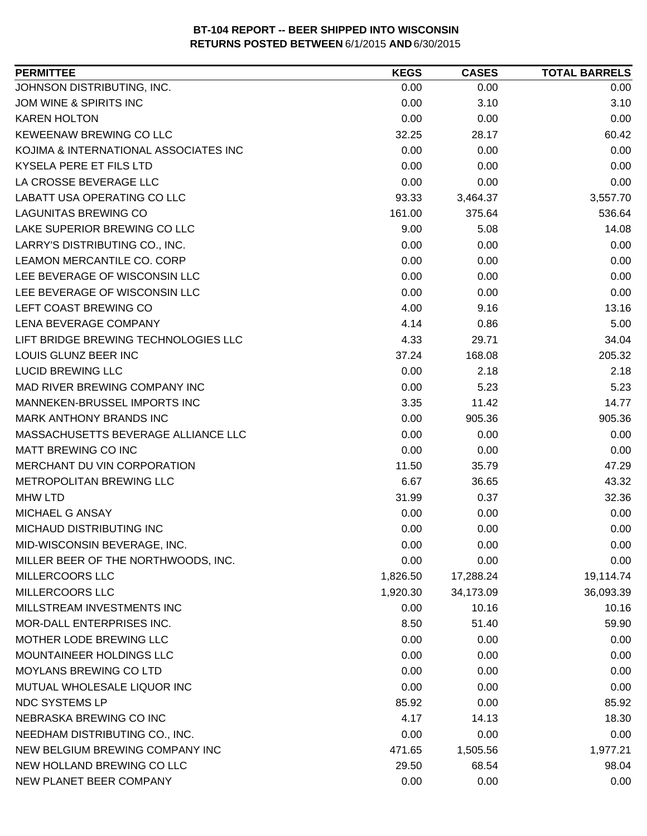| JOHNSON DISTRIBUTING, INC.<br>0.00<br>0.00<br>0.00<br>JOM WINE & SPIRITS INC<br>3.10<br>0.00<br>3.10<br><b>KAREN HOLTON</b><br>0.00<br>0.00<br>0.00<br><b>KEWEENAW BREWING CO LLC</b><br>60.42<br>32.25<br>28.17<br>KOJIMA & INTERNATIONAL ASSOCIATES INC<br>0.00<br>0.00<br>0.00<br>KYSELA PERE ET FILS LTD<br>0.00<br>0.00<br>0.00<br>LA CROSSE BEVERAGE LLC<br>0.00<br>0.00<br>0.00<br><b>LABATT USA OPERATING CO LLC</b><br>3,557.70<br>93.33<br>3,464.37<br><b>LAGUNITAS BREWING CO</b><br>161.00<br>375.64<br>536.64<br>LAKE SUPERIOR BREWING CO LLC<br>9.00<br>5.08<br>14.08<br>LARRY'S DISTRIBUTING CO., INC.<br>0.00<br>0.00<br>0.00<br>0.00<br>LEAMON MERCANTILE CO. CORP<br>0.00<br>0.00<br>LEE BEVERAGE OF WISCONSIN LLC<br>0.00<br>0.00<br>0.00<br>LEE BEVERAGE OF WISCONSIN LLC<br>0.00<br>0.00<br>0.00<br>LEFT COAST BREWING CO<br>4.00<br>9.16<br>13.16<br>LENA BEVERAGE COMPANY<br>4.14<br>5.00<br>0.86<br>LIFT BRIDGE BREWING TECHNOLOGIES LLC<br>34.04<br>4.33<br>29.71<br>LOUIS GLUNZ BEER INC<br>205.32<br>37.24<br>168.08<br><b>LUCID BREWING LLC</b><br>0.00<br>2.18<br>2.18<br>0.00<br>5.23<br>MAD RIVER BREWING COMPANY INC<br>5.23<br>MANNEKEN-BRUSSEL IMPORTS INC<br>3.35<br>14.77<br>11.42<br>MARK ANTHONY BRANDS INC<br>0.00<br>905.36<br>905.36<br>MASSACHUSETTS BEVERAGE ALLIANCE LLC<br>0.00<br>0.00<br>0.00<br><b>MATT BREWING CO INC</b><br>0.00<br>0.00<br>0.00<br>MERCHANT DU VIN CORPORATION<br>47.29<br>11.50<br>35.79<br>METROPOLITAN BREWING LLC<br>6.67<br>36.65<br>43.32<br>32.36<br><b>MHW LTD</b><br>31.99<br>0.37<br>MICHAEL G ANSAY<br>0.00<br>0.00<br>0.00<br>MICHAUD DISTRIBUTING INC<br>0.00<br>0.00<br>0.00<br>MID-WISCONSIN BEVERAGE, INC.<br>0.00<br>0.00<br>0.00<br>0.00<br>MILLER BEER OF THE NORTHWOODS, INC.<br>0.00<br>0.00<br>MILLERCOORS LLC<br>1,826.50<br>17,288.24<br>19,114.74<br>MILLERCOORS LLC<br>36,093.39<br>1,920.30<br>34,173.09<br>MILLSTREAM INVESTMENTS INC<br>10.16<br>0.00<br>10.16<br>MOR-DALL ENTERPRISES INC.<br>8.50<br>51.40<br>59.90<br>MOTHER LODE BREWING LLC<br>0.00<br>0.00<br>0.00<br>MOUNTAINEER HOLDINGS LLC<br>0.00<br>0.00<br>0.00<br><b>MOYLANS BREWING CO LTD</b><br>0.00<br>0.00<br>0.00<br>MUTUAL WHOLESALE LIQUOR INC<br>0.00<br>0.00<br>0.00<br>NDC SYSTEMS LP<br>85.92<br>85.92<br>0.00<br>NEBRASKA BREWING CO INC<br>4.17<br>14.13<br>18.30<br>NEEDHAM DISTRIBUTING CO., INC.<br>0.00<br>0.00<br>0.00<br>NEW BELGIUM BREWING COMPANY INC<br>471.65<br>1,505.56<br>1,977.21<br>NEW HOLLAND BREWING CO LLC<br>29.50<br>68.54<br>98.04 | <b>PERMITTEE</b>        | <b>KEGS</b> | <b>CASES</b> | <b>TOTAL BARRELS</b> |
|---------------------------------------------------------------------------------------------------------------------------------------------------------------------------------------------------------------------------------------------------------------------------------------------------------------------------------------------------------------------------------------------------------------------------------------------------------------------------------------------------------------------------------------------------------------------------------------------------------------------------------------------------------------------------------------------------------------------------------------------------------------------------------------------------------------------------------------------------------------------------------------------------------------------------------------------------------------------------------------------------------------------------------------------------------------------------------------------------------------------------------------------------------------------------------------------------------------------------------------------------------------------------------------------------------------------------------------------------------------------------------------------------------------------------------------------------------------------------------------------------------------------------------------------------------------------------------------------------------------------------------------------------------------------------------------------------------------------------------------------------------------------------------------------------------------------------------------------------------------------------------------------------------------------------------------------------------------------------------------------------------------------------------------------------------------------------------------------------------------------------------------------------------------------------------------------------------------------------------------------------------------------------------------------------------------------------------------------------------------------------------------------------------------------------------------------------------------------------------------------------------------------------------------|-------------------------|-------------|--------------|----------------------|
|                                                                                                                                                                                                                                                                                                                                                                                                                                                                                                                                                                                                                                                                                                                                                                                                                                                                                                                                                                                                                                                                                                                                                                                                                                                                                                                                                                                                                                                                                                                                                                                                                                                                                                                                                                                                                                                                                                                                                                                                                                                                                                                                                                                                                                                                                                                                                                                                                                                                                                                                       |                         |             |              |                      |
|                                                                                                                                                                                                                                                                                                                                                                                                                                                                                                                                                                                                                                                                                                                                                                                                                                                                                                                                                                                                                                                                                                                                                                                                                                                                                                                                                                                                                                                                                                                                                                                                                                                                                                                                                                                                                                                                                                                                                                                                                                                                                                                                                                                                                                                                                                                                                                                                                                                                                                                                       |                         |             |              |                      |
|                                                                                                                                                                                                                                                                                                                                                                                                                                                                                                                                                                                                                                                                                                                                                                                                                                                                                                                                                                                                                                                                                                                                                                                                                                                                                                                                                                                                                                                                                                                                                                                                                                                                                                                                                                                                                                                                                                                                                                                                                                                                                                                                                                                                                                                                                                                                                                                                                                                                                                                                       |                         |             |              |                      |
|                                                                                                                                                                                                                                                                                                                                                                                                                                                                                                                                                                                                                                                                                                                                                                                                                                                                                                                                                                                                                                                                                                                                                                                                                                                                                                                                                                                                                                                                                                                                                                                                                                                                                                                                                                                                                                                                                                                                                                                                                                                                                                                                                                                                                                                                                                                                                                                                                                                                                                                                       |                         |             |              |                      |
|                                                                                                                                                                                                                                                                                                                                                                                                                                                                                                                                                                                                                                                                                                                                                                                                                                                                                                                                                                                                                                                                                                                                                                                                                                                                                                                                                                                                                                                                                                                                                                                                                                                                                                                                                                                                                                                                                                                                                                                                                                                                                                                                                                                                                                                                                                                                                                                                                                                                                                                                       |                         |             |              |                      |
|                                                                                                                                                                                                                                                                                                                                                                                                                                                                                                                                                                                                                                                                                                                                                                                                                                                                                                                                                                                                                                                                                                                                                                                                                                                                                                                                                                                                                                                                                                                                                                                                                                                                                                                                                                                                                                                                                                                                                                                                                                                                                                                                                                                                                                                                                                                                                                                                                                                                                                                                       |                         |             |              |                      |
|                                                                                                                                                                                                                                                                                                                                                                                                                                                                                                                                                                                                                                                                                                                                                                                                                                                                                                                                                                                                                                                                                                                                                                                                                                                                                                                                                                                                                                                                                                                                                                                                                                                                                                                                                                                                                                                                                                                                                                                                                                                                                                                                                                                                                                                                                                                                                                                                                                                                                                                                       |                         |             |              |                      |
|                                                                                                                                                                                                                                                                                                                                                                                                                                                                                                                                                                                                                                                                                                                                                                                                                                                                                                                                                                                                                                                                                                                                                                                                                                                                                                                                                                                                                                                                                                                                                                                                                                                                                                                                                                                                                                                                                                                                                                                                                                                                                                                                                                                                                                                                                                                                                                                                                                                                                                                                       |                         |             |              |                      |
|                                                                                                                                                                                                                                                                                                                                                                                                                                                                                                                                                                                                                                                                                                                                                                                                                                                                                                                                                                                                                                                                                                                                                                                                                                                                                                                                                                                                                                                                                                                                                                                                                                                                                                                                                                                                                                                                                                                                                                                                                                                                                                                                                                                                                                                                                                                                                                                                                                                                                                                                       |                         |             |              |                      |
|                                                                                                                                                                                                                                                                                                                                                                                                                                                                                                                                                                                                                                                                                                                                                                                                                                                                                                                                                                                                                                                                                                                                                                                                                                                                                                                                                                                                                                                                                                                                                                                                                                                                                                                                                                                                                                                                                                                                                                                                                                                                                                                                                                                                                                                                                                                                                                                                                                                                                                                                       |                         |             |              |                      |
|                                                                                                                                                                                                                                                                                                                                                                                                                                                                                                                                                                                                                                                                                                                                                                                                                                                                                                                                                                                                                                                                                                                                                                                                                                                                                                                                                                                                                                                                                                                                                                                                                                                                                                                                                                                                                                                                                                                                                                                                                                                                                                                                                                                                                                                                                                                                                                                                                                                                                                                                       |                         |             |              |                      |
|                                                                                                                                                                                                                                                                                                                                                                                                                                                                                                                                                                                                                                                                                                                                                                                                                                                                                                                                                                                                                                                                                                                                                                                                                                                                                                                                                                                                                                                                                                                                                                                                                                                                                                                                                                                                                                                                                                                                                                                                                                                                                                                                                                                                                                                                                                                                                                                                                                                                                                                                       |                         |             |              |                      |
|                                                                                                                                                                                                                                                                                                                                                                                                                                                                                                                                                                                                                                                                                                                                                                                                                                                                                                                                                                                                                                                                                                                                                                                                                                                                                                                                                                                                                                                                                                                                                                                                                                                                                                                                                                                                                                                                                                                                                                                                                                                                                                                                                                                                                                                                                                                                                                                                                                                                                                                                       |                         |             |              |                      |
|                                                                                                                                                                                                                                                                                                                                                                                                                                                                                                                                                                                                                                                                                                                                                                                                                                                                                                                                                                                                                                                                                                                                                                                                                                                                                                                                                                                                                                                                                                                                                                                                                                                                                                                                                                                                                                                                                                                                                                                                                                                                                                                                                                                                                                                                                                                                                                                                                                                                                                                                       |                         |             |              |                      |
|                                                                                                                                                                                                                                                                                                                                                                                                                                                                                                                                                                                                                                                                                                                                                                                                                                                                                                                                                                                                                                                                                                                                                                                                                                                                                                                                                                                                                                                                                                                                                                                                                                                                                                                                                                                                                                                                                                                                                                                                                                                                                                                                                                                                                                                                                                                                                                                                                                                                                                                                       |                         |             |              |                      |
|                                                                                                                                                                                                                                                                                                                                                                                                                                                                                                                                                                                                                                                                                                                                                                                                                                                                                                                                                                                                                                                                                                                                                                                                                                                                                                                                                                                                                                                                                                                                                                                                                                                                                                                                                                                                                                                                                                                                                                                                                                                                                                                                                                                                                                                                                                                                                                                                                                                                                                                                       |                         |             |              |                      |
|                                                                                                                                                                                                                                                                                                                                                                                                                                                                                                                                                                                                                                                                                                                                                                                                                                                                                                                                                                                                                                                                                                                                                                                                                                                                                                                                                                                                                                                                                                                                                                                                                                                                                                                                                                                                                                                                                                                                                                                                                                                                                                                                                                                                                                                                                                                                                                                                                                                                                                                                       |                         |             |              |                      |
|                                                                                                                                                                                                                                                                                                                                                                                                                                                                                                                                                                                                                                                                                                                                                                                                                                                                                                                                                                                                                                                                                                                                                                                                                                                                                                                                                                                                                                                                                                                                                                                                                                                                                                                                                                                                                                                                                                                                                                                                                                                                                                                                                                                                                                                                                                                                                                                                                                                                                                                                       |                         |             |              |                      |
|                                                                                                                                                                                                                                                                                                                                                                                                                                                                                                                                                                                                                                                                                                                                                                                                                                                                                                                                                                                                                                                                                                                                                                                                                                                                                                                                                                                                                                                                                                                                                                                                                                                                                                                                                                                                                                                                                                                                                                                                                                                                                                                                                                                                                                                                                                                                                                                                                                                                                                                                       |                         |             |              |                      |
|                                                                                                                                                                                                                                                                                                                                                                                                                                                                                                                                                                                                                                                                                                                                                                                                                                                                                                                                                                                                                                                                                                                                                                                                                                                                                                                                                                                                                                                                                                                                                                                                                                                                                                                                                                                                                                                                                                                                                                                                                                                                                                                                                                                                                                                                                                                                                                                                                                                                                                                                       |                         |             |              |                      |
|                                                                                                                                                                                                                                                                                                                                                                                                                                                                                                                                                                                                                                                                                                                                                                                                                                                                                                                                                                                                                                                                                                                                                                                                                                                                                                                                                                                                                                                                                                                                                                                                                                                                                                                                                                                                                                                                                                                                                                                                                                                                                                                                                                                                                                                                                                                                                                                                                                                                                                                                       |                         |             |              |                      |
|                                                                                                                                                                                                                                                                                                                                                                                                                                                                                                                                                                                                                                                                                                                                                                                                                                                                                                                                                                                                                                                                                                                                                                                                                                                                                                                                                                                                                                                                                                                                                                                                                                                                                                                                                                                                                                                                                                                                                                                                                                                                                                                                                                                                                                                                                                                                                                                                                                                                                                                                       |                         |             |              |                      |
|                                                                                                                                                                                                                                                                                                                                                                                                                                                                                                                                                                                                                                                                                                                                                                                                                                                                                                                                                                                                                                                                                                                                                                                                                                                                                                                                                                                                                                                                                                                                                                                                                                                                                                                                                                                                                                                                                                                                                                                                                                                                                                                                                                                                                                                                                                                                                                                                                                                                                                                                       |                         |             |              |                      |
|                                                                                                                                                                                                                                                                                                                                                                                                                                                                                                                                                                                                                                                                                                                                                                                                                                                                                                                                                                                                                                                                                                                                                                                                                                                                                                                                                                                                                                                                                                                                                                                                                                                                                                                                                                                                                                                                                                                                                                                                                                                                                                                                                                                                                                                                                                                                                                                                                                                                                                                                       |                         |             |              |                      |
|                                                                                                                                                                                                                                                                                                                                                                                                                                                                                                                                                                                                                                                                                                                                                                                                                                                                                                                                                                                                                                                                                                                                                                                                                                                                                                                                                                                                                                                                                                                                                                                                                                                                                                                                                                                                                                                                                                                                                                                                                                                                                                                                                                                                                                                                                                                                                                                                                                                                                                                                       |                         |             |              |                      |
|                                                                                                                                                                                                                                                                                                                                                                                                                                                                                                                                                                                                                                                                                                                                                                                                                                                                                                                                                                                                                                                                                                                                                                                                                                                                                                                                                                                                                                                                                                                                                                                                                                                                                                                                                                                                                                                                                                                                                                                                                                                                                                                                                                                                                                                                                                                                                                                                                                                                                                                                       |                         |             |              |                      |
|                                                                                                                                                                                                                                                                                                                                                                                                                                                                                                                                                                                                                                                                                                                                                                                                                                                                                                                                                                                                                                                                                                                                                                                                                                                                                                                                                                                                                                                                                                                                                                                                                                                                                                                                                                                                                                                                                                                                                                                                                                                                                                                                                                                                                                                                                                                                                                                                                                                                                                                                       |                         |             |              |                      |
|                                                                                                                                                                                                                                                                                                                                                                                                                                                                                                                                                                                                                                                                                                                                                                                                                                                                                                                                                                                                                                                                                                                                                                                                                                                                                                                                                                                                                                                                                                                                                                                                                                                                                                                                                                                                                                                                                                                                                                                                                                                                                                                                                                                                                                                                                                                                                                                                                                                                                                                                       |                         |             |              |                      |
|                                                                                                                                                                                                                                                                                                                                                                                                                                                                                                                                                                                                                                                                                                                                                                                                                                                                                                                                                                                                                                                                                                                                                                                                                                                                                                                                                                                                                                                                                                                                                                                                                                                                                                                                                                                                                                                                                                                                                                                                                                                                                                                                                                                                                                                                                                                                                                                                                                                                                                                                       |                         |             |              |                      |
|                                                                                                                                                                                                                                                                                                                                                                                                                                                                                                                                                                                                                                                                                                                                                                                                                                                                                                                                                                                                                                                                                                                                                                                                                                                                                                                                                                                                                                                                                                                                                                                                                                                                                                                                                                                                                                                                                                                                                                                                                                                                                                                                                                                                                                                                                                                                                                                                                                                                                                                                       |                         |             |              |                      |
|                                                                                                                                                                                                                                                                                                                                                                                                                                                                                                                                                                                                                                                                                                                                                                                                                                                                                                                                                                                                                                                                                                                                                                                                                                                                                                                                                                                                                                                                                                                                                                                                                                                                                                                                                                                                                                                                                                                                                                                                                                                                                                                                                                                                                                                                                                                                                                                                                                                                                                                                       |                         |             |              |                      |
|                                                                                                                                                                                                                                                                                                                                                                                                                                                                                                                                                                                                                                                                                                                                                                                                                                                                                                                                                                                                                                                                                                                                                                                                                                                                                                                                                                                                                                                                                                                                                                                                                                                                                                                                                                                                                                                                                                                                                                                                                                                                                                                                                                                                                                                                                                                                                                                                                                                                                                                                       |                         |             |              |                      |
|                                                                                                                                                                                                                                                                                                                                                                                                                                                                                                                                                                                                                                                                                                                                                                                                                                                                                                                                                                                                                                                                                                                                                                                                                                                                                                                                                                                                                                                                                                                                                                                                                                                                                                                                                                                                                                                                                                                                                                                                                                                                                                                                                                                                                                                                                                                                                                                                                                                                                                                                       |                         |             |              |                      |
|                                                                                                                                                                                                                                                                                                                                                                                                                                                                                                                                                                                                                                                                                                                                                                                                                                                                                                                                                                                                                                                                                                                                                                                                                                                                                                                                                                                                                                                                                                                                                                                                                                                                                                                                                                                                                                                                                                                                                                                                                                                                                                                                                                                                                                                                                                                                                                                                                                                                                                                                       |                         |             |              |                      |
|                                                                                                                                                                                                                                                                                                                                                                                                                                                                                                                                                                                                                                                                                                                                                                                                                                                                                                                                                                                                                                                                                                                                                                                                                                                                                                                                                                                                                                                                                                                                                                                                                                                                                                                                                                                                                                                                                                                                                                                                                                                                                                                                                                                                                                                                                                                                                                                                                                                                                                                                       |                         |             |              |                      |
|                                                                                                                                                                                                                                                                                                                                                                                                                                                                                                                                                                                                                                                                                                                                                                                                                                                                                                                                                                                                                                                                                                                                                                                                                                                                                                                                                                                                                                                                                                                                                                                                                                                                                                                                                                                                                                                                                                                                                                                                                                                                                                                                                                                                                                                                                                                                                                                                                                                                                                                                       |                         |             |              |                      |
|                                                                                                                                                                                                                                                                                                                                                                                                                                                                                                                                                                                                                                                                                                                                                                                                                                                                                                                                                                                                                                                                                                                                                                                                                                                                                                                                                                                                                                                                                                                                                                                                                                                                                                                                                                                                                                                                                                                                                                                                                                                                                                                                                                                                                                                                                                                                                                                                                                                                                                                                       |                         |             |              |                      |
|                                                                                                                                                                                                                                                                                                                                                                                                                                                                                                                                                                                                                                                                                                                                                                                                                                                                                                                                                                                                                                                                                                                                                                                                                                                                                                                                                                                                                                                                                                                                                                                                                                                                                                                                                                                                                                                                                                                                                                                                                                                                                                                                                                                                                                                                                                                                                                                                                                                                                                                                       |                         |             |              |                      |
|                                                                                                                                                                                                                                                                                                                                                                                                                                                                                                                                                                                                                                                                                                                                                                                                                                                                                                                                                                                                                                                                                                                                                                                                                                                                                                                                                                                                                                                                                                                                                                                                                                                                                                                                                                                                                                                                                                                                                                                                                                                                                                                                                                                                                                                                                                                                                                                                                                                                                                                                       |                         |             |              |                      |
|                                                                                                                                                                                                                                                                                                                                                                                                                                                                                                                                                                                                                                                                                                                                                                                                                                                                                                                                                                                                                                                                                                                                                                                                                                                                                                                                                                                                                                                                                                                                                                                                                                                                                                                                                                                                                                                                                                                                                                                                                                                                                                                                                                                                                                                                                                                                                                                                                                                                                                                                       |                         |             |              |                      |
|                                                                                                                                                                                                                                                                                                                                                                                                                                                                                                                                                                                                                                                                                                                                                                                                                                                                                                                                                                                                                                                                                                                                                                                                                                                                                                                                                                                                                                                                                                                                                                                                                                                                                                                                                                                                                                                                                                                                                                                                                                                                                                                                                                                                                                                                                                                                                                                                                                                                                                                                       |                         |             |              |                      |
|                                                                                                                                                                                                                                                                                                                                                                                                                                                                                                                                                                                                                                                                                                                                                                                                                                                                                                                                                                                                                                                                                                                                                                                                                                                                                                                                                                                                                                                                                                                                                                                                                                                                                                                                                                                                                                                                                                                                                                                                                                                                                                                                                                                                                                                                                                                                                                                                                                                                                                                                       |                         |             |              |                      |
|                                                                                                                                                                                                                                                                                                                                                                                                                                                                                                                                                                                                                                                                                                                                                                                                                                                                                                                                                                                                                                                                                                                                                                                                                                                                                                                                                                                                                                                                                                                                                                                                                                                                                                                                                                                                                                                                                                                                                                                                                                                                                                                                                                                                                                                                                                                                                                                                                                                                                                                                       |                         |             |              |                      |
|                                                                                                                                                                                                                                                                                                                                                                                                                                                                                                                                                                                                                                                                                                                                                                                                                                                                                                                                                                                                                                                                                                                                                                                                                                                                                                                                                                                                                                                                                                                                                                                                                                                                                                                                                                                                                                                                                                                                                                                                                                                                                                                                                                                                                                                                                                                                                                                                                                                                                                                                       |                         |             |              |                      |
|                                                                                                                                                                                                                                                                                                                                                                                                                                                                                                                                                                                                                                                                                                                                                                                                                                                                                                                                                                                                                                                                                                                                                                                                                                                                                                                                                                                                                                                                                                                                                                                                                                                                                                                                                                                                                                                                                                                                                                                                                                                                                                                                                                                                                                                                                                                                                                                                                                                                                                                                       | NEW PLANET BEER COMPANY | 0.00        | 0.00         | 0.00                 |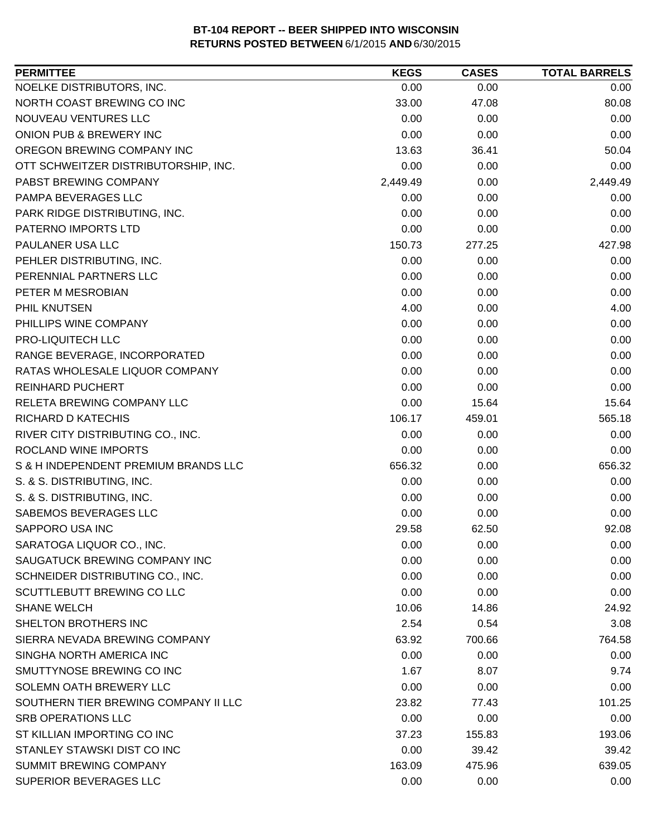| <b>PERMITTEE</b>                     | <b>KEGS</b> | <b>CASES</b> | <b>TOTAL BARRELS</b> |
|--------------------------------------|-------------|--------------|----------------------|
| NOELKE DISTRIBUTORS, INC.            | 0.00        | 0.00         | 0.00                 |
| NORTH COAST BREWING CO INC           | 33.00       | 47.08        | 80.08                |
| NOUVEAU VENTURES LLC                 | 0.00        | 0.00         | 0.00                 |
| ONION PUB & BREWERY INC              | 0.00        | 0.00         | 0.00                 |
| OREGON BREWING COMPANY INC           | 13.63       | 36.41        | 50.04                |
| OTT SCHWEITZER DISTRIBUTORSHIP, INC. | 0.00        | 0.00         | 0.00                 |
| PABST BREWING COMPANY                | 2,449.49    | 0.00         | 2,449.49             |
| PAMPA BEVERAGES LLC                  | 0.00        | 0.00         | 0.00                 |
| PARK RIDGE DISTRIBUTING, INC.        | 0.00        | 0.00         | 0.00                 |
| PATERNO IMPORTS LTD                  | 0.00        | 0.00         | 0.00                 |
| PAULANER USA LLC                     | 150.73      | 277.25       | 427.98               |
| PEHLER DISTRIBUTING, INC.            | 0.00        | 0.00         | 0.00                 |
| PERENNIAL PARTNERS LLC               | 0.00        | 0.00         | 0.00                 |
| PETER M MESROBIAN                    | 0.00        | 0.00         | 0.00                 |
| PHIL KNUTSEN                         | 4.00        | 0.00         | 4.00                 |
| PHILLIPS WINE COMPANY                | 0.00        | 0.00         | 0.00                 |
| PRO-LIQUITECH LLC                    | 0.00        | 0.00         | 0.00                 |
| RANGE BEVERAGE, INCORPORATED         | 0.00        | 0.00         | 0.00                 |
| RATAS WHOLESALE LIQUOR COMPANY       | 0.00        | 0.00         | 0.00                 |
| <b>REINHARD PUCHERT</b>              | 0.00        | 0.00         | 0.00                 |
| RELETA BREWING COMPANY LLC           | 0.00        | 15.64        | 15.64                |
| <b>RICHARD D KATECHIS</b>            | 106.17      | 459.01       | 565.18               |
| RIVER CITY DISTRIBUTING CO., INC.    | 0.00        | 0.00         | 0.00                 |
| ROCLAND WINE IMPORTS                 | 0.00        | 0.00         | 0.00                 |
| S & H INDEPENDENT PREMIUM BRANDS LLC | 656.32      | 0.00         | 656.32               |
| S. & S. DISTRIBUTING, INC.           | 0.00        | 0.00         | 0.00                 |
| S. & S. DISTRIBUTING, INC.           | 0.00        | 0.00         | 0.00                 |
| SABEMOS BEVERAGES LLC                | 0.00        | 0.00         | 0.00                 |
| SAPPORO USA INC                      | 29.58       | 62.50        | 92.08                |
| SARATOGA LIQUOR CO., INC.            | 0.00        | 0.00         | 0.00                 |
| SAUGATUCK BREWING COMPANY INC        | 0.00        | 0.00         | 0.00                 |
| SCHNEIDER DISTRIBUTING CO., INC.     | 0.00        | 0.00         | 0.00                 |
| SCUTTLEBUTT BREWING CO LLC           | 0.00        | 0.00         | 0.00                 |
| <b>SHANE WELCH</b>                   | 10.06       | 14.86        | 24.92                |
| SHELTON BROTHERS INC                 | 2.54        | 0.54         | 3.08                 |
| SIERRA NEVADA BREWING COMPANY        | 63.92       | 700.66       | 764.58               |
| SINGHA NORTH AMERICA INC             | 0.00        | 0.00         | 0.00                 |
| SMUTTYNOSE BREWING CO INC            | 1.67        | 8.07         | 9.74                 |
| SOLEMN OATH BREWERY LLC              | 0.00        | 0.00         | 0.00                 |
| SOUTHERN TIER BREWING COMPANY II LLC | 23.82       | 77.43        | 101.25               |
| <b>SRB OPERATIONS LLC</b>            | 0.00        | 0.00         | 0.00                 |
| ST KILLIAN IMPORTING CO INC          | 37.23       | 155.83       | 193.06               |
| STANLEY STAWSKI DIST CO INC          | 0.00        | 39.42        | 39.42                |
| <b>SUMMIT BREWING COMPANY</b>        | 163.09      | 475.96       | 639.05               |
| SUPERIOR BEVERAGES LLC               | 0.00        | 0.00         | 0.00                 |
|                                      |             |              |                      |